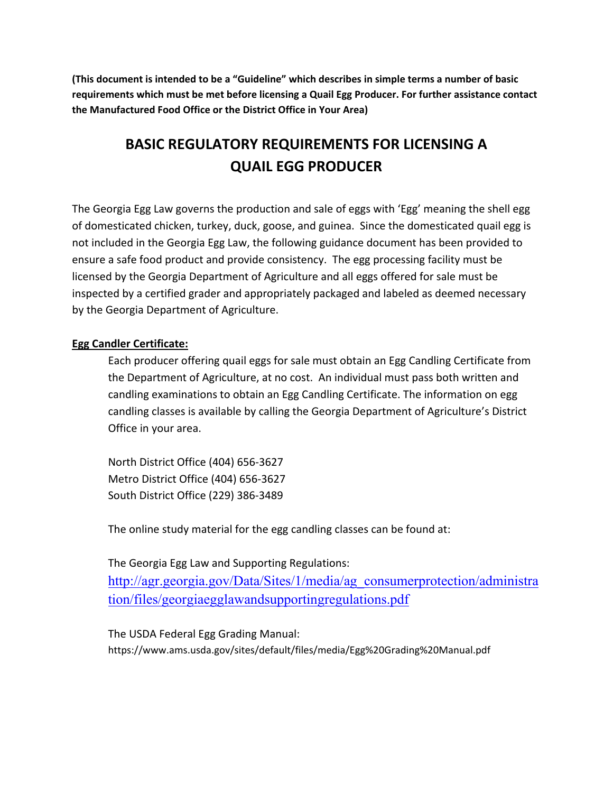**(This document is intended to be a "Guideline" which describes in simple terms a number of basic requirements which must be met before licensing a Quail Egg Producer. For further assistance contact the Manufactured Food Office or the District Office in Your Area)**

# **BASIC REGULATORY REQUIREMENTS FOR LICENSING A QUAIL EGG PRODUCER**

The Georgia Egg Law governs the production and sale of eggs with 'Egg' meaning the shell egg of domesticated chicken, turkey, duck, goose, and guinea. Since the domesticated quail egg is not included in the Georgia Egg Law, the following guidance document has been provided to ensure a safe food product and provide consistency. The egg processing facility must be licensed by the Georgia Department of Agriculture and all eggs offered for sale must be inspected by a certified grader and appropriately packaged and labeled as deemed necessary by the Georgia Department of Agriculture.

## **Egg Candler Certificate:**

Each producer offering quail eggs for sale must obtain an Egg Candling Certificate from the Department of Agriculture, at no cost. An individual must pass both written and candling examinations to obtain an Egg Candling Certificate. The information on egg candling classes is available by calling the Georgia Department of Agriculture's District Office in your area.

North District Office (404) 656-3627 Metro District Office (404) 656-3627 South District Office (229) 386-3489

The online study material for the egg candling classes can be found at:

The Georgia Egg Law and Supporting Regulations:

[http://agr.georgia.gov/Data/Sites/1/media/ag\\_consumerprotection/administra](http://agr.georgia.gov/Data/Sites/1/media/ag_consumerprotection/administration/files/georgiaegglawandsupportingregulations.pdf) [tion/files/georgiaegglawandsupportingregulations.pdf](http://agr.georgia.gov/Data/Sites/1/media/ag_consumerprotection/administration/files/georgiaegglawandsupportingregulations.pdf)

The USDA Federal Egg Grading Manual: https://www.ams.usda.gov/sites/default/files/media/Egg%20Grading%20Manual.pdf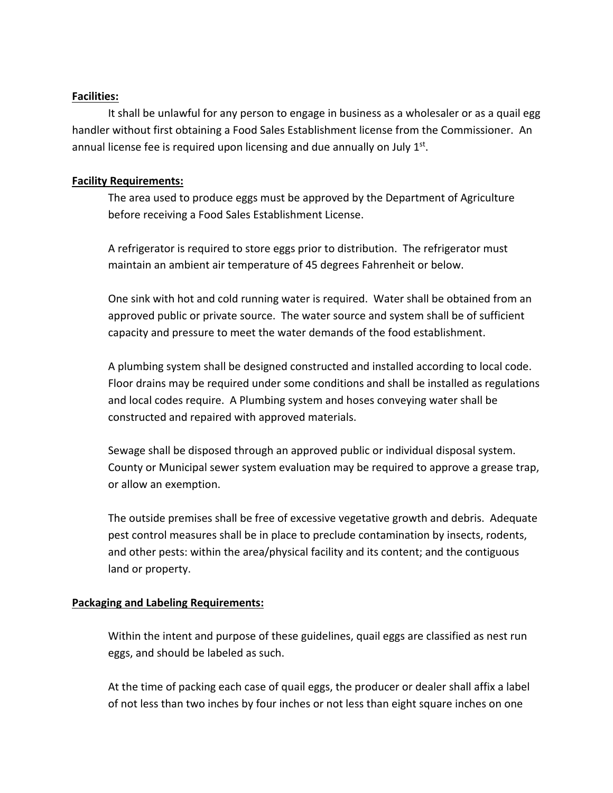## **Facilities:**

It shall be unlawful for any person to engage in business as a wholesaler or as a quail egg handler without first obtaining a Food Sales Establishment license from the Commissioner. An annual license fee is required upon licensing and due annually on July  $1<sup>st</sup>$ .

#### **Facility Requirements:**

The area used to produce eggs must be approved by the Department of Agriculture before receiving a Food Sales Establishment License.

A refrigerator is required to store eggs prior to distribution. The refrigerator must maintain an ambient air temperature of 45 degrees Fahrenheit or below.

One sink with hot and cold running water is required. Water shall be obtained from an approved public or private source. The water source and system shall be of sufficient capacity and pressure to meet the water demands of the food establishment.

A plumbing system shall be designed constructed and installed according to local code. Floor drains may be required under some conditions and shall be installed as regulations and local codes require. A Plumbing system and hoses conveying water shall be constructed and repaired with approved materials.

Sewage shall be disposed through an approved public or individual disposal system. County or Municipal sewer system evaluation may be required to approve a grease trap, or allow an exemption.

The outside premises shall be free of excessive vegetative growth and debris. Adequate pest control measures shall be in place to preclude contamination by insects, rodents, and other pests: within the area/physical facility and its content; and the contiguous land or property.

## **Packaging and Labeling Requirements:**

Within the intent and purpose of these guidelines, quail eggs are classified as nest run eggs, and should be labeled as such.

At the time of packing each case of quail eggs, the producer or dealer shall affix a label of not less than two inches by four inches or not less than eight square inches on one